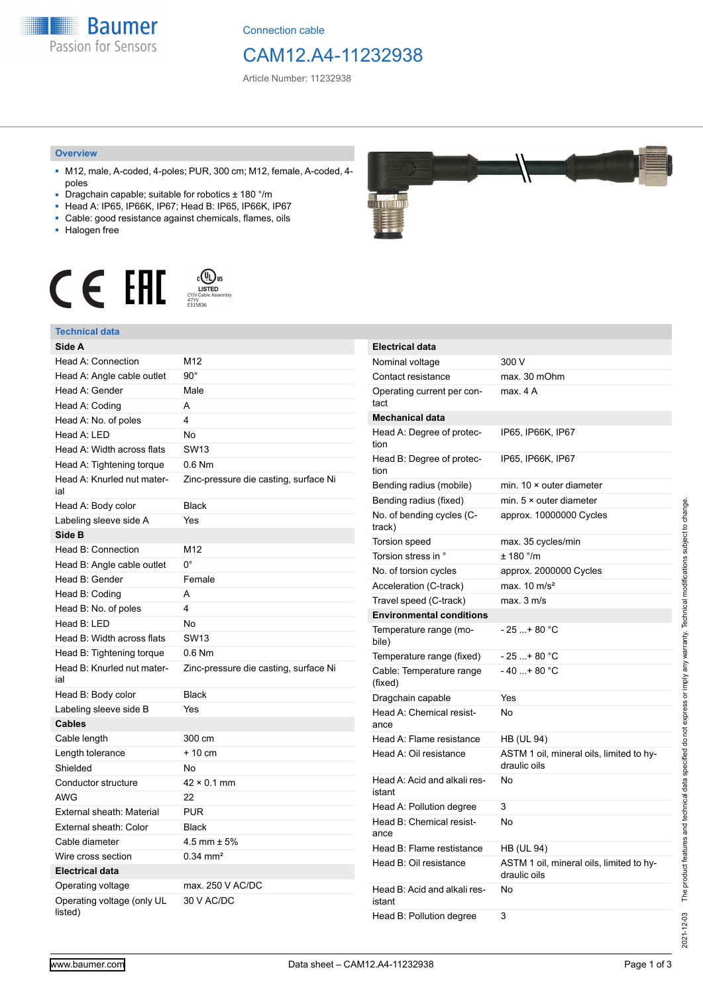**Baumer** Passion for Sensors

Connection cable

## CAM12.A4-11232938

Article Number: 11232938

#### **Overview**

- M12, male, A-coded, 4-poles; PUR, 300 cm; M12, female, A-coded, 4 poles
- Dragchain capable; suitable for robotics ± 180 °/m
- Head A: IP65, IP66K, IP67; Head B: IP65, IP66K, IP67
- Cable: good resistance against chemicals, flames, oils
- Halogen free



### **Technical data**

| Side A                                |                                       |
|---------------------------------------|---------------------------------------|
| Head A: Connection                    | M12                                   |
| Head A: Angle cable outlet            | $90^{\circ}$                          |
| Head A: Gender                        | Male                                  |
| Head A: Coding                        | A                                     |
| Head A: No. of poles                  | 4                                     |
| Head A: LED                           | No                                    |
| Head A: Width across flats            | <b>SW13</b>                           |
| Head A: Tightening torque             | $0.6$ Nm                              |
| Head A: Knurled nut mater-<br>ial     | Zinc-pressure die casting, surface Ni |
| Head A: Body color                    | <b>Black</b>                          |
| Labeling sleeve side A                | Yes                                   |
| Side B                                |                                       |
| Head B: Connection                    | M12                                   |
| Head B: Angle cable outlet            | 0°                                    |
| Head B: Gender                        | Female                                |
| Head B: Coding                        | A                                     |
| Head B: No. of poles                  | 4                                     |
| Head B: LED                           | No                                    |
| Head B: Width across flats            | <b>SW13</b>                           |
| Head B: Tightening torque             | $0.6$ Nm                              |
| Head B: Knurled nut mater-<br>ial     | Zinc-pressure die casting, surface Ni |
| Head B: Body color                    | <b>Black</b>                          |
| Labeling sleeve side B                | Yes                                   |
| <b>Cables</b>                         |                                       |
| Cable length                          | 300 cm                                |
| Length tolerance                      | $+10$ cm                              |
| Shielded                              | No                                    |
| Conductor structure                   | $42 \times 0.1$ mm                    |
| <b>AWG</b>                            | 22                                    |
| External sheath: Material             | <b>PUR</b>                            |
| External sheath: Color                | <b>Black</b>                          |
| Cable diameter                        | $4.5$ mm $\pm 5%$                     |
| Wire cross section                    | $0.34 \text{ mm}^2$                   |
| <b>Electrical data</b>                |                                       |
| Operating voltage                     | max. 250 V AC/DC                      |
| Operating voltage (only UL<br>listed) | 30 V AC/DC                            |

| . .<br><b>Contractor</b>                                                                                  |  |  | <b>CONTRACTOR</b><br><b>REAL PROPERTY</b><br><b>Service Control Control</b><br><b>ANCHORAGEMENT</b><br><b>REPORT ANTIQUES CALLS:</b><br><b>CONCIACORD</b> |
|-----------------------------------------------------------------------------------------------------------|--|--|-----------------------------------------------------------------------------------------------------------------------------------------------------------|
| ---<br><b>COMPANY</b><br><b>COLUMN 2 IS NOT THE OWNER.</b><br><b>The State College of College College</b> |  |  |                                                                                                                                                           |

| <b>Electrical data</b>                 |                                                          |
|----------------------------------------|----------------------------------------------------------|
| Nominal voltage                        | 300 V                                                    |
| Contact resistance                     | max. 30 mOhm                                             |
| Operating current per con-<br>tact     | max. 4 A                                                 |
| <b>Mechanical data</b>                 |                                                          |
| Head A: Degree of protec-<br>tion      | IP65, IP66K, IP67                                        |
| Head B: Degree of protec-<br>tion      | IP65, IP66K, IP67                                        |
| Bending radius (mobile)                | min. $10 \times$ outer diameter                          |
| Bending radius (fixed)                 | min. $5 \times$ outer diameter                           |
| No. of bending cycles (C-<br>track)    | approx. 10000000 Cycles                                  |
| Torsion speed                          | max. 35 cycles/min                                       |
| Torsion stress in °                    | $± 180$ °/m                                              |
| No. of torsion cycles                  | approx. 2000000 Cycles                                   |
| Acceleration (C-track)                 | max. $10 \text{ m/s}^2$                                  |
| Travel speed (C-track)                 | max. 3 m/s                                               |
| <b>Environmental conditions</b>        |                                                          |
| Temperature range (mo-<br>bile)        | - 25 + 80 °C                                             |
| Temperature range (fixed)              | $-25+80 °C$                                              |
| Cable: Temperature range<br>(fixed)    | $-40+80 °C$                                              |
| Dragchain capable                      | Yes                                                      |
| Head A: Chemical resist-<br>ance       | No                                                       |
| Head A: Flame resistance               | HB (UL 94)                                               |
| Head A: Oil resistance                 | ASTM 1 oil, mineral oils, limited to hy-<br>draulic oils |
| Head A: Acid and alkali res-<br>istant | No                                                       |
| Head A: Pollution degree               | 3                                                        |
| Head B: Chemical resist-<br>ance       | No                                                       |
| Head B: Flame restistance              |                                                          |
|                                        | HB (UL 94)                                               |
| Head B: Oil resistance                 | ASTM 1 oil, mineral oils, limited to hy-<br>draulic oils |
| Head B: Acid and alkali res-<br>istant | No                                                       |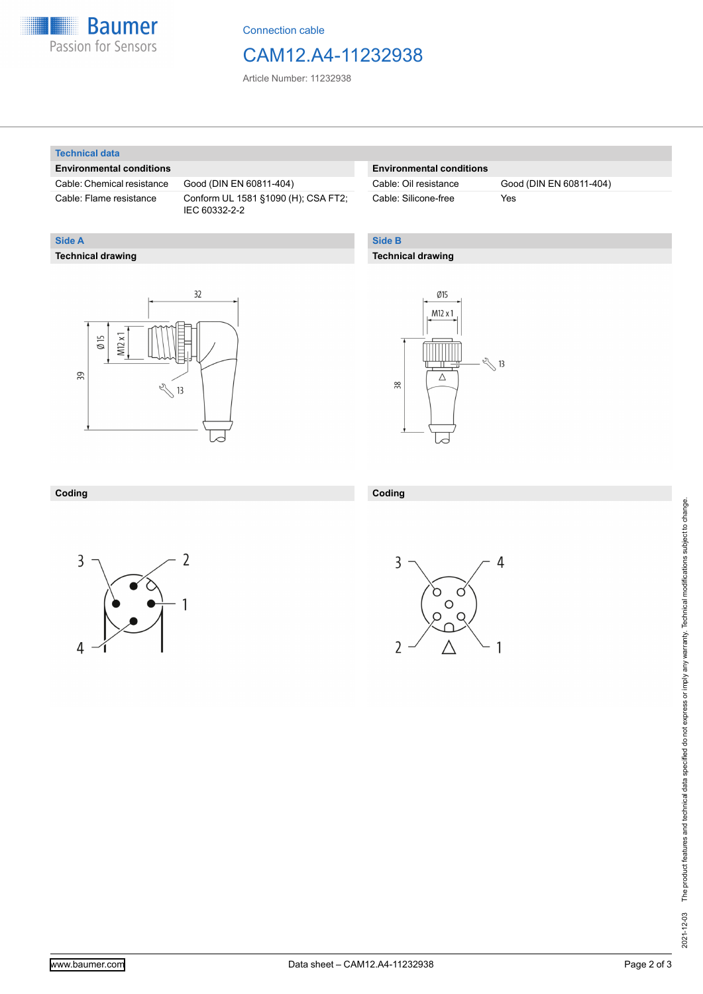

Connection cable

## CAM12.A4-11232938

Article Number: 11232938

#### **Technical data**

**Technical drawing**

**Side A**

#### **Environmental conditions**

Cable: Chemical resistance Good (DIN EN 60811-404)

Cable: Flame resistance Conform UL 1581 §1090 (H); CSA FT2; IEC 60332-2-2

#### **Environmental conditions**

Cable: Silicone-free Yes

Cable: Oil resistance Good (DIN EN 60811-404)

#### **Side B**

**Coding**

#### **Technical drawing**

# $32$  $M12x1$  $\emptyset$  15 39  $\sqrt[3]{13}$



#### **Coding**